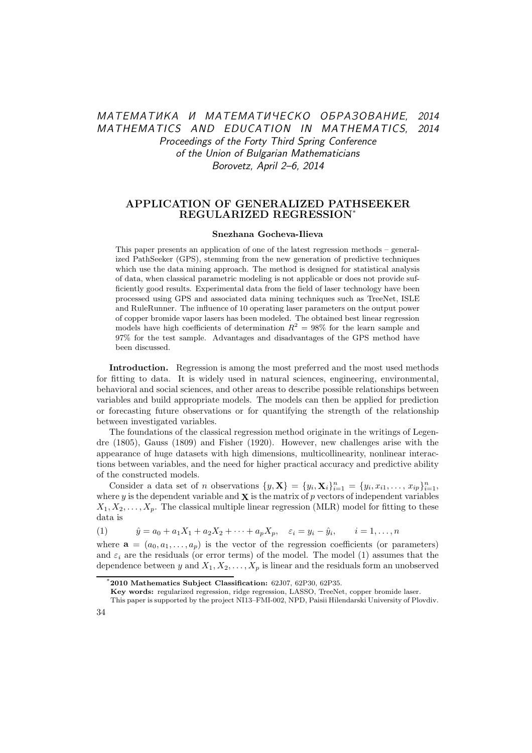# МАТЕМАТИКА И МАТЕМАТИЧЕСКО ОБРАЗОВАНИЕ, 2014 MATHEMATICS AND EDUCATION IN MATHEMATICS, 2014 Proceedings of the Forty Third Spring Conference of the Union of Bulgarian Mathematicians Borovetz, April 2–6, 2014

## APPLICATION OF GENERALIZED PATHSEEKER REGULARIZED REGRESSION\*

### Snezhana Gocheva-Ilieva

This paper presents an application of one of the latest regression methods – generalized PathSeeker (GPS), stemming from the new generation of predictive techniques which use the data mining approach. The method is designed for statistical analysis of data, when classical parametric modeling is not applicable or does not provide sufficiently good results. Experimental data from the field of laser technology have been processed using GPS and associated data mining techniques such as TreeNet, ISLE and RuleRunner. The influence of 10 operating laser parameters on the output power of copper bromide vapor lasers has been modeled. The obtained best linear regression models have high coefficients of determination  $R^2 = 98\%$  for the learn sample and 97% for the test sample. Advantages and disadvantages of the GPS method have been discussed.

Introduction. Regression is among the most preferred and the most used methods for fitting to data. It is widely used in natural sciences, engineering, environmental, behavioral and social sciences, and other areas to describe possible relationships between variables and build appropriate models. The models can then be applied for prediction or forecasting future observations or for quantifying the strength of the relationship between investigated variables.

The foundations of the classical regression method originate in the writings of Legendre (1805), Gauss (1809) and Fisher (1920). However, new challenges arise with the appearance of huge datasets with high dimensions, multicollinearity, nonlinear interactions between variables, and the need for higher practical accuracy and predictive ability of the constructed models.

Consider a data set of *n* observations  $\{y, X\} = \{y_i, X_i\}_{i=1}^n = \{y_i, x_{i1}, \dots, x_{ip}\}_{i=1}^n$ , where y is the dependent variable and  $\bf{X}$  is the matrix of p vectors of independent variables  $X_1, X_2, \ldots, X_n$ . The classical multiple linear regression (MLR) model for fitting to these data is

(1)  $\hat{y} = a_0 + a_1 X_1 + a_2 X_2 + \cdots + a_p X_p, \quad \varepsilon_i = y_i - \hat{y}_i, \qquad i = 1, \ldots, n$ 

where  $\mathbf{a} = (a_0, a_1, \dots, a_n)$  is the vector of the regression coefficients (or parameters) and  $\varepsilon_i$  are the residuals (or error terms) of the model. The model (1) assumes that the dependence between y and  $X_1, X_2, \ldots, X_p$  is linear and the residuals form an unobserved

<sup>\*</sup>2010 Mathematics Subject Classification: 62J07, 62P30, 62P35.

Key words: regularized regression, ridge regression, LASSO, TreeNet, copper bromide laser.

This paper is supported by the project NI13–FMI-002, NPD, Paisii Hilendarski University of Plovdiv.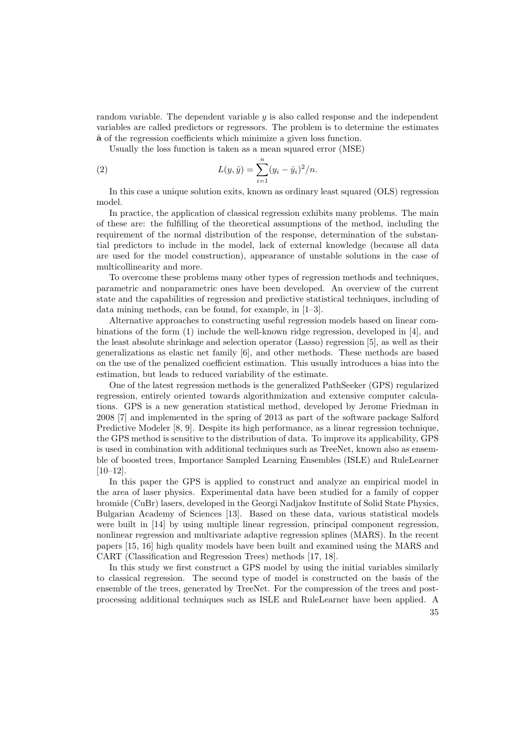random variable. The dependent variable  $y$  is also called response and the independent variables are called predictors or regressors. The problem is to determine the estimates aˆ of the regression coefficients which minimize a given loss function.

Usually the loss function is taken as a mean squared error (MSE)

(2) 
$$
L(y, \hat{y}) = \sum_{i=1}^{n} (y_i - \hat{y}_i)^2 / n.
$$

In this case a unique solution exits, known as ordinary least squared (OLS) regression model.

In practice, the application of classical regression exhibits many problems. The main of these are: the fulfilling of the theoretical assumptions of the method, including the requirement of the normal distribution of the response, determination of the substantial predictors to include in the model, lack of external knowledge (because all data are used for the model construction), appearance of unstable solutions in the case of multicollinearity and more.

To overcome these problems many other types of regression methods and techniques, parametric and nonparametric ones have been developed. An overview of the current state and the capabilities of regression and predictive statistical techniques, including of data mining methods, can be found, for example, in [1–3].

Alternative approaches to constructing useful regression models based on linear combinations of the form (1) include the well-known ridge regression, developed in [4], and the least absolute shrinkage and selection operator (Lasso) regression [5], as well as their generalizations as elastic net family [6], and other methods. These methods are based on the use of the penalized coefficient estimation. This usually introduces a bias into the estimation, but leads to reduced variability of the estimate.

One of the latest regression methods is the generalized PathSeeker (GPS) regularized regression, entirely oriented towards algorithmization and extensive computer calculations. GPS is a new generation statistical method, developed by Jerome Friedman in 2008 [7] and implemented in the spring of 2013 as part of the software package Salford Predictive Modeler [8, 9]. Despite its high performance, as a linear regression technique, the GPS method is sensitive to the distribution of data. To improve its applicability, GPS is used in combination with additional techniques such as TreeNet, known also as ensemble of boosted trees, Importance Sampled Learning Ensembles (ISLE) and RuleLearner [10–12].

In this paper the GPS is applied to construct and analyze an empirical model in the area of laser physics. Experimental data have been studied for a family of copper bromide (CuBr) lasers, developed in the Georgi Nadjakov Institute of Solid State Physics, Bulgarian Academy of Sciences [13]. Based on these data, various statistical models were built in [14] by using multiple linear regression, principal component regression, nonlinear regression and multivariate adaptive regression splines (MARS). In the recent papers [15, 16] high quality models have been built and examined using the MARS and CART (Classification and Regression Trees) methods [17, 18].

In this study we first construct a GPS model by using the initial variables similarly to classical regression. The second type of model is constructed on the basis of the ensemble of the trees, generated by TreeNet. For the compression of the trees and postprocessing additional techniques such as ISLE and RuleLearner have been applied. A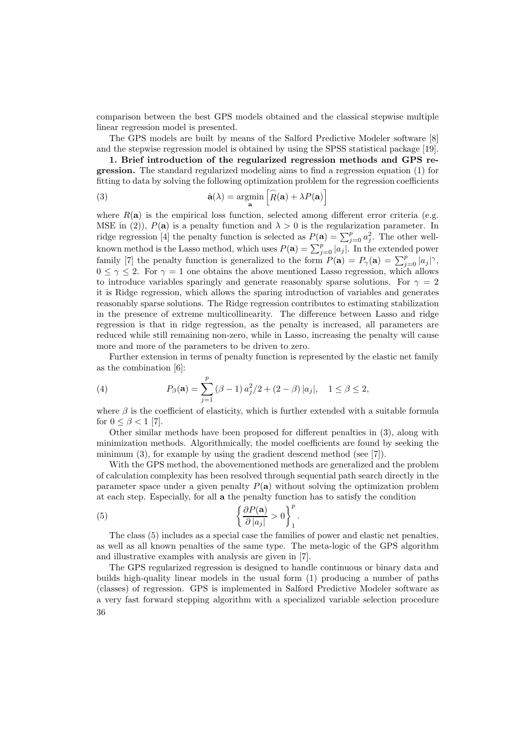comparison between the best GPS models obtained and the classical stepwise multiple linear regression model is presented.

The GPS models are built by means of the Salford Predictive Modeler software [8] and the stepwise regression model is obtained by using the SPSS statistical package [19].

1. Brief introduction of the regularized regression methods and GPS regression. The standard regularized modeling aims to find a regression equation (1) for fitting to data by solving the following optimization problem for the regression coefficients

(3) 
$$
\hat{\mathbf{a}}(\lambda) = \operatorname*{argmin}_{\mathbf{a}} \left[ \widehat{R}(\mathbf{a}) + \lambda P(\mathbf{a}) \right]
$$

where  $R(a)$  is the empirical loss function, selected among different error criteria (e.g. MSE in (2)),  $P(\mathbf{a})$  is a penalty function and  $\lambda > 0$  is the regularization parameter. In ridge regression [4] the penalty function is selected as  $P(\mathbf{a}) = \sum_{j=0}^{p} a_j^2$ . The other wellknown method is the Lasso method, which uses  $P(\mathbf{a}) = \sum_{j=0}^{p} |a_j|$ . In the extended power family [7] the penalty function is generalized to the form  $P(\mathbf{a}) = P_{\gamma}(\mathbf{a}) = \sum_{j=0}^{p} |a_j|^{\gamma}$ ,  $0 \leq \gamma \leq 2$ . For  $\gamma = 1$  one obtains the above mentioned Lasso regression, which allows to introduce variables sparingly and generate reasonably sparse solutions. For  $\gamma = 2$ it is Ridge regression, which allows the sparing introduction of variables and generates reasonably sparse solutions. The Ridge regression contributes to estimating stabilization in the presence of extreme multicollinearity. The difference between Lasso and ridge regression is that in ridge regression, as the penalty is increased, all parameters are reduced while still remaining non-zero, while in Lasso, increasing the penalty will cause more and more of the parameters to be driven to zero.

Further extension in terms of penalty function is represented by the elastic net family as the combination [6]:

(4) 
$$
P_{\beta}(\mathbf{a}) = \sum_{j=1}^{p} (\beta - 1) a_j^2 / 2 + (2 - \beta) |a_j|, \quad 1 \le \beta \le 2,
$$

where  $\beta$  is the coefficient of elasticity, which is further extended with a suitable formula for  $0 \le \beta < 1$  [7].

Other similar methods have been proposed for different penalties in (3), along with minimization methods. Algorithmically, the model coefficients are found by seeking the minimum (3), for example by using the gradient descend method (see [7]).

With the GPS method, the abovementioned methods are generalized and the problem of calculation complexity has been resolved through sequential path search directly in the parameter space under a given penalty  $P(a)$  without solving the optimization problem at each step. Especially, for all a the penalty function has to satisfy the condition

(5) 
$$
\left\{\frac{\partial P(\mathbf{a})}{\partial |a_j|} > 0\right\}_1^p.
$$

The class (5) includes as a special case the families of power and elastic net penalties, as well as all known penalties of the same type. The meta-logic of the GPS algorithm and illustrative examples with analysis are given in [7].

The GPS regularized regression is designed to handle continuous or binary data and builds high-quality linear models in the usual form (1) producing a number of paths (classes) of regression. GPS is implemented in Salford Predictive Modeler software as a very fast forward stepping algorithm with a specialized variable selection procedure 36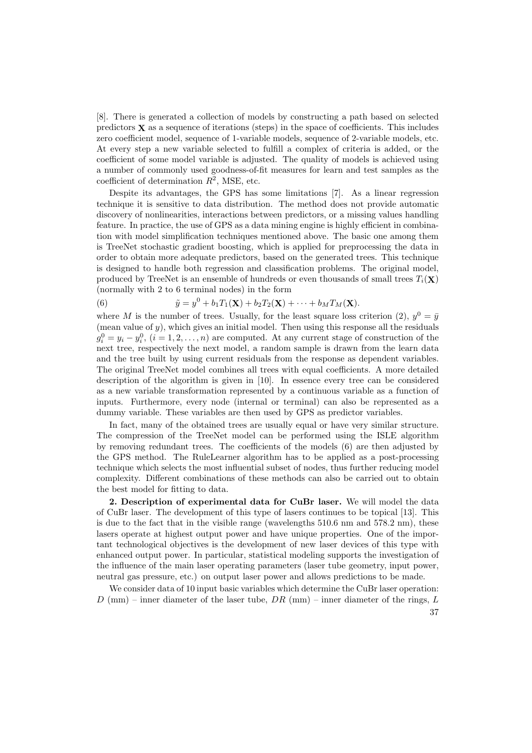[8]. There is generated a collection of models by constructing a path based on selected predictors  $\bf{X}$  as a sequence of iterations (steps) in the space of coefficients. This includes zero coefficient model, sequence of 1-variable models, sequence of 2-variable models, etc. At every step a new variable selected to fulfill a complex of criteria is added, or the coefficient of some model variable is adjusted. The quality of models is achieved using a number of commonly used goodness-of-fit measures for learn and test samples as the coefficient of determination  $R^2$ , MSE, etc.

Despite its advantages, the GPS has some limitations [7]. As a linear regression technique it is sensitive to data distribution. The method does not provide automatic discovery of nonlinearities, interactions between predictors, or a missing values handling feature. In practice, the use of GPS as a data mining engine is highly efficient in combination with model simplification techniques mentioned above. The basic one among them is TreeNet stochastic gradient boosting, which is applied for preprocessing the data in order to obtain more adequate predictors, based on the generated trees. This technique is designed to handle both regression and classification problems. The original model, produced by TreeNet is an ensemble of hundreds or even thousands of small trees  $T_i(\mathbf{X})$ (normally with 2 to 6 terminal nodes) in the form

(6) 
$$
\tilde{y} = y^0 + b_1 T_1(\mathbf{X}) + b_2 T_2(\mathbf{X}) + \cdots + b_M T_M(\mathbf{X}).
$$

where M is the number of trees. Usually, for the least square loss criterion (2),  $y^0 = \bar{y}$ (mean value of  $y$ ), which gives an initial model. Then using this response all the residuals  $g_i^0 = y_i - y_i^0$ ,  $(i = 1, 2, ..., n)$  are computed. At any current stage of construction of the next tree, respectively the next model, a random sample is drawn from the learn data and the tree built by using current residuals from the response as dependent variables. The original TreeNet model combines all trees with equal coefficients. A more detailed description of the algorithm is given in [10]. In essence every tree can be considered as a new variable transformation represented by a continuous variable as a function of inputs. Furthermore, every node (internal or terminal) can also be represented as a dummy variable. These variables are then used by GPS as predictor variables.

In fact, many of the obtained trees are usually equal or have very similar structure. The compression of the TreeNet model can be performed using the ISLE algorithm by removing redundant trees. The coefficients of the models (6) are then adjusted by the GPS method. The RuleLearner algorithm has to be applied as a post-processing technique which selects the most influential subset of nodes, thus further reducing model complexity. Different combinations of these methods can also be carried out to obtain the best model for fitting to data.

2. Description of experimental data for CuBr laser. We will model the data of CuBr laser. The development of this type of lasers continues to be topical [13]. This is due to the fact that in the visible range (wavelengths 510.6 nm and 578.2 nm), these lasers operate at highest output power and have unique properties. One of the important technological objectives is the development of new laser devices of this type with enhanced output power. In particular, statistical modeling supports the investigation of the influence of the main laser operating parameters (laser tube geometry, input power, neutral gas pressure, etc.) on output laser power and allows predictions to be made.

We consider data of 10 input basic variables which determine the CuBr laser operation:  $D$  (mm) – inner diameter of the laser tube,  $DR$  (mm) – inner diameter of the rings,  $L$ 37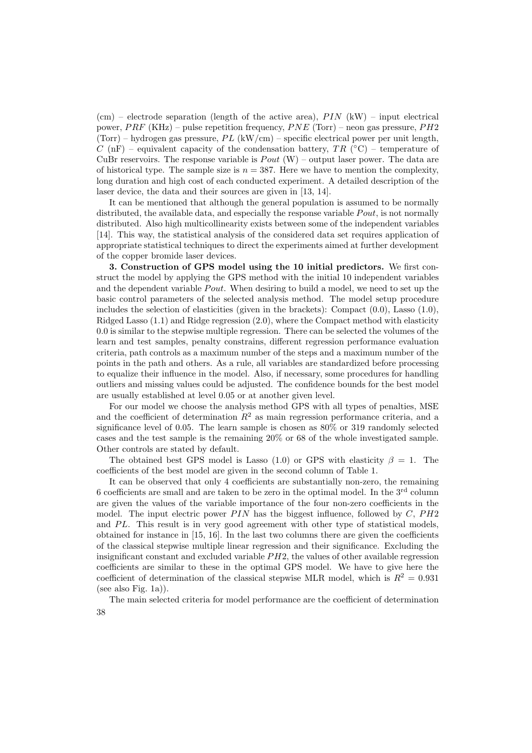$(cm)$  – electrode separation (length of the active area),  $PIN$  (kW) – input electrical power,  $PRF$  (KHz) – pulse repetition frequency,  $PNE$  (Torr) – neon gas pressure,  $PH2$ (Torr) – hydrogen gas pressure,  $PL$  (kW/cm) – specific electrical power per unit length, C (nF) – equivalent capacity of the condensation battery,  $TR$  ( ${}^{\circ}$ C) – temperature of CuBr reservoirs. The response variable is  $Pout (W)$  – output laser power. The data are of historical type. The sample size is  $n = 387$ . Here we have to mention the complexity, long duration and high cost of each conducted experiment. A detailed description of the laser device, the data and their sources are given in [13, 14].

It can be mentioned that although the general population is assumed to be normally distributed, the available data, and especially the response variable  $Pout$ , is not normally distributed. Also high multicollinearity exists between some of the independent variables [14]. This way, the statistical analysis of the considered data set requires application of appropriate statistical techniques to direct the experiments aimed at further development of the copper bromide laser devices.

3. Construction of GPS model using the 10 initial predictors. We first construct the model by applying the GPS method with the initial 10 independent variables and the dependent variable  $Pout$ . When desiring to build a model, we need to set up the basic control parameters of the selected analysis method. The model setup procedure includes the selection of elasticities (given in the brackets): Compact  $(0.0)$ , Lasso  $(1.0)$ , Ridged Lasso  $(1.1)$  and Ridge regression  $(2.0)$ , where the Compact method with elasticity 0.0 is similar to the stepwise multiple regression. There can be selected the volumes of the learn and test samples, penalty constrains, different regression performance evaluation criteria, path controls as a maximum number of the steps and a maximum number of the points in the path and others. As a rule, all variables are standardized before processing to equalize their influence in the model. Also, if necessary, some procedures for handling outliers and missing values could be adjusted. The confidence bounds for the best model are usually established at level 0.05 or at another given level.

For our model we choose the analysis method GPS with all types of penalties, MSE and the coefficient of determination  $R^2$  as main regression performance criteria, and a significance level of 0.05. The learn sample is chosen as 80% or 319 randomly selected cases and the test sample is the remaining 20% or 68 of the whole investigated sample. Other controls are stated by default.

The obtained best GPS model is Lasso (1.0) or GPS with elasticity  $\beta = 1$ . The coefficients of the best model are given in the second column of Table 1.

It can be observed that only 4 coefficients are substantially non-zero, the remaining 6 coefficients are small and are taken to be zero in the optimal model. In the 3rd column are given the values of the variable importance of the four non-zero coefficients in the model. The input electric power  $PIN$  has the biggest influence, followed by  $C, PH2$ and  $PL$ . This result is in very good agreement with other type of statistical models. obtained for instance in [15, 16]. In the last two columns there are given the coefficients of the classical stepwise multiple linear regression and their significance. Excluding the insignificant constant and excluded variable  $PH2$ , the values of other available regression coefficients are similar to these in the optimal GPS model. We have to give here the coefficient of determination of the classical stepwise MLR model, which is  $R^2 = 0.931$ (see also Fig. 1a)).

The main selected criteria for model performance are the coefficient of determination 38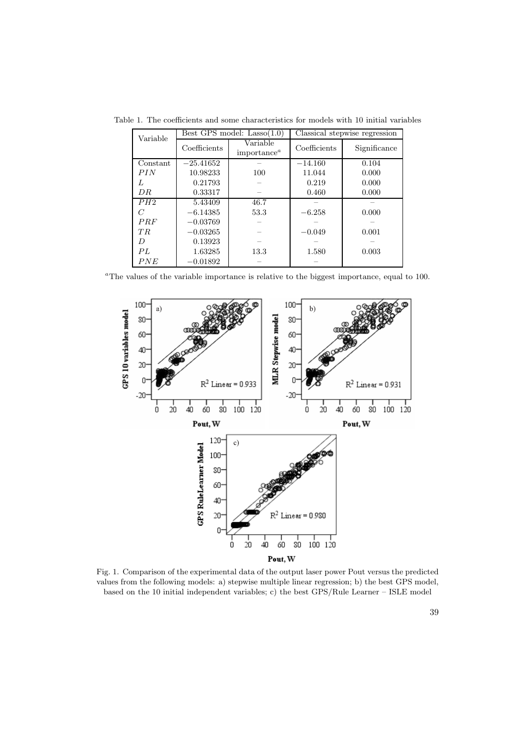Table 1. The coefficients and some characteristics for models with 10 initial variables

| Variable |              | Best GPS model: $Lasso(1.0)$               | Classical stepwise regression |              |  |
|----------|--------------|--------------------------------------------|-------------------------------|--------------|--|
|          | Coefficients | Variable<br>importance <sup><i>a</i></sup> | Coefficients                  | Significance |  |
| Constant | $-25.41652$  |                                            | $-14.160$                     | 0.104        |  |
| PIN      | 10.98233     | 100                                        | 11.044                        | 0.000        |  |
| L        | 0.21793      |                                            | 0.219                         | 0.000        |  |
| DR.      | 0.33317      |                                            | 0.460                         | 0.000        |  |
| PH2      | 5.43409      | 46.7                                       |                               |              |  |
| C        | $-6.14385$   | 53.3                                       | $-6.258$                      | 0.000        |  |
| PRF      | $-0.03769$   |                                            |                               |              |  |
| TR       | $-0.03265$   |                                            | $-0.049$                      | 0.001        |  |
| D        | 0.13923      |                                            |                               |              |  |
| PL       | 1.63285      | 13.3                                       | 1.580                         | 0.003        |  |
| PNE      | $-0.01892$   |                                            |                               |              |  |

 $\mathrm{^aThe}$  values of the variable importance is relative to the biggest importance, equal to 100.



Fig. 1. Comparison of the experimental data of the output laser power Pout versus the predicted values from the following models: a) stepwise multiple linear regression; b) the best GPS model, based on the 10 initial independent variables; c) the best GPS/Rule Learner – ISLE model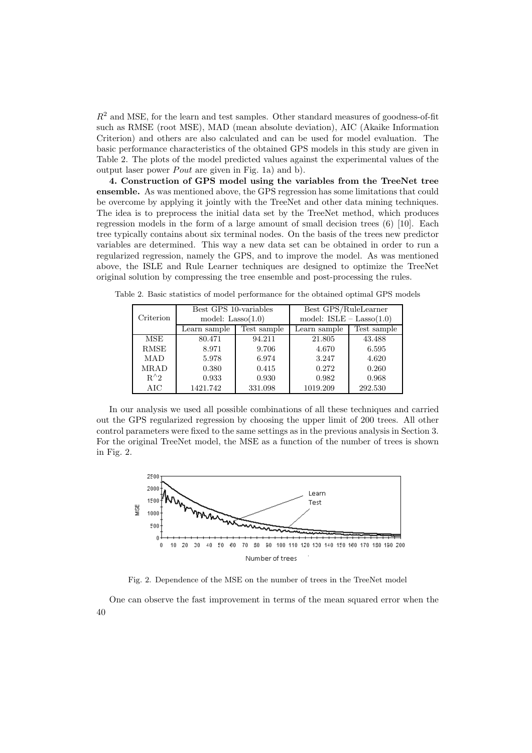$R<sup>2</sup>$  and MSE, for the learn and test samples. Other standard measures of goodness-of-fit such as RMSE (root MSE), MAD (mean absolute deviation), AIC (Akaike Information Criterion) and others are also calculated and can be used for model evaluation. The basic performance characteristics of the obtained GPS models in this study are given in Table 2. The plots of the model predicted values against the experimental values of the output laser power  $Pout$  are given in Fig. 1a) and b).

4. Construction of GPS model using the variables from the TreeNet tree ensemble. As was mentioned above, the GPS regression has some limitations that could be overcome by applying it jointly with the TreeNet and other data mining techniques. The idea is to preprocess the initial data set by the TreeNet method, which produces regression models in the form of a large amount of small decision trees (6) [10]. Each tree typically contains about six terminal nodes. On the basis of the trees new predictor variables are determined. This way a new data set can be obtained in order to run a regularized regression, namely the GPS, and to improve the model. As was mentioned above, the ISLE and Rule Learner techniques are designed to optimize the TreeNet original solution by compressing the tree ensemble and post-processing the rules.

| Criterion     | Best GPS 10-variables |             | Best GPS/RuleLearner       |             |  |
|---------------|-----------------------|-------------|----------------------------|-------------|--|
|               | model: $Lasso(1.0)$   |             | model: $ISLE - Lasso(1.0)$ |             |  |
|               | Learn sample          | Test sample | Learn sample               | Test sample |  |
| <b>MSE</b>    | 80.471                | 94.211      | 21.805                     | 43.488      |  |
| <b>RMSE</b>   | 8.971                 | 9.706       | 4.670                      | 6.595       |  |
| <b>MAD</b>    | 5.978                 | 6.974       | 3.247                      | 4.620       |  |
| <b>MRAD</b>   | 0.380                 | 0.415       | 0.272                      | 0.260       |  |
| $R^{\wedge}2$ | 0.933                 | 0.930       | 0.982                      | 0.968       |  |

AIC 1421.742 331.098 1019.209 292.530

Table 2. Basic statistics of model performance for the obtained optimal GPS models

In our analysis we used all possible combinations of all these techniques and carried out the GPS regularized regression by choosing the upper limit of 200 trees. All other control parameters were fixed to the same settings as in the previous analysis in Section 3. For the original TreeNet model, the MSE as a function of the number of trees is shown in Fig. 2.



Fig. 2. Dependence of the MSE on the number of trees in the TreeNet model

One can observe the fast improvement in terms of the mean squared error when the 40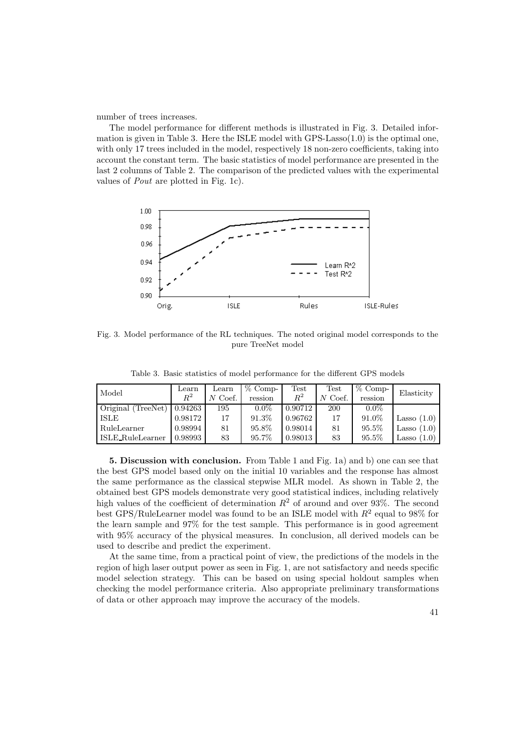number of trees increases.

The model performance for different methods is illustrated in Fig. 3. Detailed information is given in Table 3. Here the ISLE model with GPS-Lasso $(1.0)$  is the optimal one, with only 17 trees included in the model, respectively 18 non-zero coefficients, taking into account the constant term. The basic statistics of model performance are presented in the last 2 columns of Table 2. The comparison of the predicted values with the experimental values of Pout are plotted in Fig. 1c).



Fig. 3. Model performance of the RL techniques. The noted original model corresponds to the pure TreeNet model

Table 3. Basic statistics of model performance for the different GPS models

| Model                        | Learn<br>$R^2$ | Learn<br>$N$ Coef. | $%$ Comp-<br>ression | Test<br>$R^2$ | Test<br>$N$ Coef. | $%$ Comp-<br>ression | Elasticity    |
|------------------------------|----------------|--------------------|----------------------|---------------|-------------------|----------------------|---------------|
| Original (TreeNet) $0.94263$ |                | 195                | $0.0\%$              | 0.90712       | <b>200</b>        | $0.0\%$              |               |
| <b>ISLE</b>                  | 0.98172        | 17                 | 91.3%                | 0.96762       | 17                | 91.0%                | Lasso $(1.0)$ |
| RuleLearner                  | 0.98994        | 81                 | $95.8\%$             | 0.98014       | 81                | $95.5\%$             | Lasso $(1.0)$ |
| ISLE_RuleLearner             | 0.98993        | 83                 | 95.7%                | 0.98013       | 83                | 95.5%                | Lasso $(1.0)$ |

5. Discussion with conclusion. From Table 1 and Fig. 1a) and b) one can see that the best GPS model based only on the initial 10 variables and the response has almost the same performance as the classical stepwise MLR model. As shown in Table 2, the obtained best GPS models demonstrate very good statistical indices, including relatively high values of the coefficient of determination  $R^2$  of around and over 93%. The second best GPS/RuleLearner model was found to be an ISLE model with  $R^2$  equal to 98% for the learn sample and 97% for the test sample. This performance is in good agreement with 95% accuracy of the physical measures. In conclusion, all derived models can be used to describe and predict the experiment.

At the same time, from a practical point of view, the predictions of the models in the region of high laser output power as seen in Fig. 1, are not satisfactory and needs specific model selection strategy. This can be based on using special holdout samples when checking the model performance criteria. Also appropriate preliminary transformations of data or other approach may improve the accuracy of the models.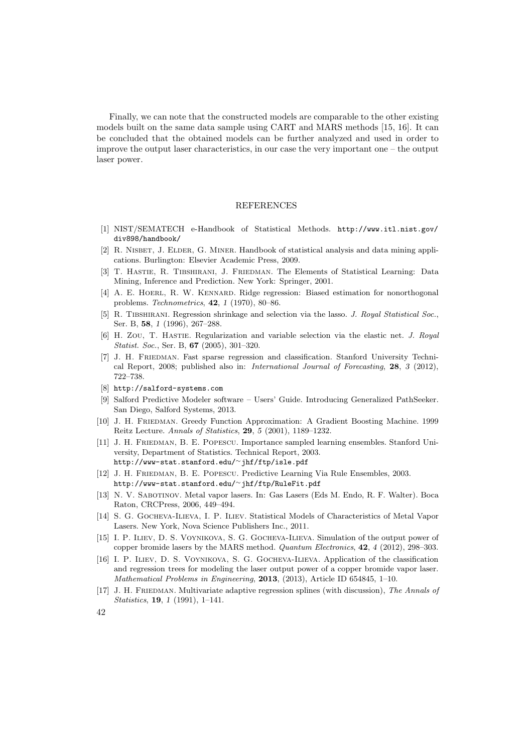Finally, we can note that the constructed models are comparable to the other existing models built on the same data sample using CART and MARS methods [15, 16]. It can be concluded that the obtained models can be further analyzed and used in order to improve the output laser characteristics, in our case the very important one – the output laser power.

#### REFERENCES

- [1] NIST/SEMATECH e-Handbook of Statistical Methods. http://www.itl.nist.gov/ div898/handbook/
- [2] R. Nisbet, J. Elder, G. Miner. Handbook of statistical analysis and data mining applications. Burlington: Elsevier Academic Press, 2009.
- [3] T. Hastie, R. Tibshirani, J. Friedman. The Elements of Statistical Learning: Data Mining, Inference and Prediction. New York: Springer, 2001.
- [4] A. E. Hoerl, R. W. Kennard. Ridge regression: Biased estimation for nonorthogonal problems. Technometrics, 42, 1 (1970), 80–86.
- [5] R. TIBSHIRANI. Regression shrinkage and selection via the lasso. J. Royal Statistical Soc., Ser. B, 58, 1 (1996), 267–288.
- [6] H. Zou, T. Hastie. Regularization and variable selection via the elastic net. J. Royal Statist. Soc., Ser. B, 67 (2005), 301–320.
- [7] J. H. Friedman. Fast sparse regression and classification. Stanford University Technical Report, 2008; published also in: International Journal of Forecasting, 28, 3 (2012), 722–738.
- [8] http://salford-systems.com
- [9] Salford Predictive Modeler software Users' Guide. Introducing Generalized PathSeeker. San Diego, Salford Systems, 2013.
- [10] J. H. Friedman. Greedy Function Approximation: A Gradient Boosting Machine. 1999 Reitz Lecture. Annals of Statistics, 29, 5 (2001), 1189–1232.
- [11] J. H. FRIEDMAN, B. E. POPESCU. Importance sampled learning ensembles. Stanford University, Department of Statistics. Technical Report, 2003. http://www-stat.stanford.edu/<sup>∼</sup>jhf/ftp/isle.pdf
- [12] J. H. Friedman, B. E. Popescu. Predictive Learning Via Rule Ensembles, 2003. http://www-stat.stanford.edu/<sup>∼</sup>jhf/ftp/RuleFit.pdf
- [13] N. V. Sabotinov. Metal vapor lasers. In: Gas Lasers (Eds M. Endo, R. F. Walter). Boca Raton, CRCPress, 2006, 449–494.
- [14] S. G. Gocheva-Ilieva, I. P. Iliev. Statistical Models of Characteristics of Metal Vapor Lasers. New York, Nova Science Publishers Inc., 2011.
- [15] I. P. Iliev, D. S. Voynikova, S. G. Gocheva-Ilieva. Simulation of the output power of copper bromide lasers by the MARS method. Quantum Electronics, 42, 4 (2012), 298–303.
- [16] I. P. Iliev, D. S. Voynikova, S. G. Gocheva-Ilieva. Application of the classification and regression trees for modeling the laser output power of a copper bromide vapor laser. Mathematical Problems in Engineering, 2013, (2013), Article ID 654845, 1–10.
- [17] J. H. FRIEDMAN. Multivariate adaptive regression splines (with discussion), The Annals of Statistics, 19, 1 (1991), 1–141.
- 42